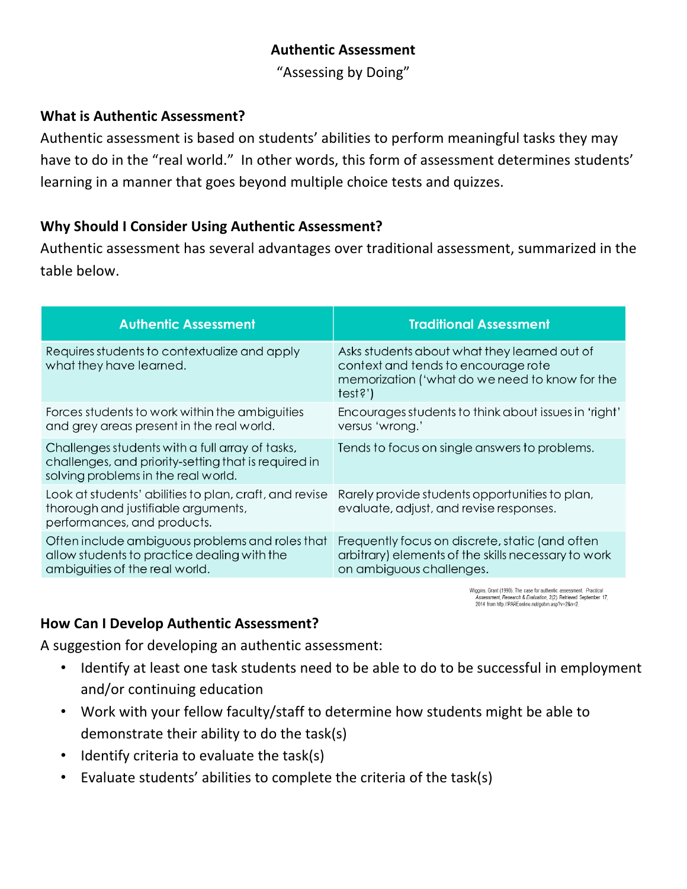### **Authentic Assessment**

"Assessing by Doing"

#### **What is Authentic Assessment?**

Authentic assessment is based on students' abilities to perform meaningful tasks they may have to do in the "real world." In other words, this form of assessment determines students' learning in a manner that goes beyond multiple choice tests and quizzes.

#### **Why Should I Consider Using Authentic Assessment?**

Authentic assessment has several advantages over traditional assessment, summarized in the table below.

| <b>Authentic Assessment</b>                                                                                                                    | <b>Traditional Assessment</b>                                                                                                                  |
|------------------------------------------------------------------------------------------------------------------------------------------------|------------------------------------------------------------------------------------------------------------------------------------------------|
| Requires students to contextualize and apply<br>what they have learned.                                                                        | Asks students about what they learned out of<br>context and tends to encourage rote<br>memorization ('what do we need to know for the<br>test? |
| Forces students to work within the ambiguities<br>and grey areas present in the real world.                                                    | Encourages students to think about issues in 'right'<br>versus 'wrong.'                                                                        |
| Challenges students with a full array of tasks,<br>challenges, and priority-setting that is required in<br>solving problems in the real world. | Tends to focus on single answers to problems.                                                                                                  |
| Look at students' abilities to plan, craft, and revise<br>thorough and justifiable arguments,<br>performances, and products.                   | Rarely provide students opportunities to plan,<br>evaluate, adjust, and revise responses.                                                      |
| Often include ambiguous problems and roles that<br>allow students to practice dealing with the<br>ambiguities of the real world.               | Frequently focus on discrete, static (and often<br>arbitrary) elements of the skills necessary to work<br>on ambiguous challenges.             |

Wiggins, Grant (1990). The case for authentic assessment. Practical Assessment, Research & Evaluation, 2(2). Retrieved September 17, 2014 from http://PAREonline.net/getvn.asp?v=2&n=2.

#### **How Can I Develop Authentic Assessment?**

A suggestion for developing an authentic assessment:

- Identify at least one task students need to be able to do to be successful in employment and/or continuing education
- Work with your fellow faculty/staff to determine how students might be able to demonstrate their ability to do the task(s)
- Identify criteria to evaluate the task(s)
- Evaluate students' abilities to complete the criteria of the task(s)